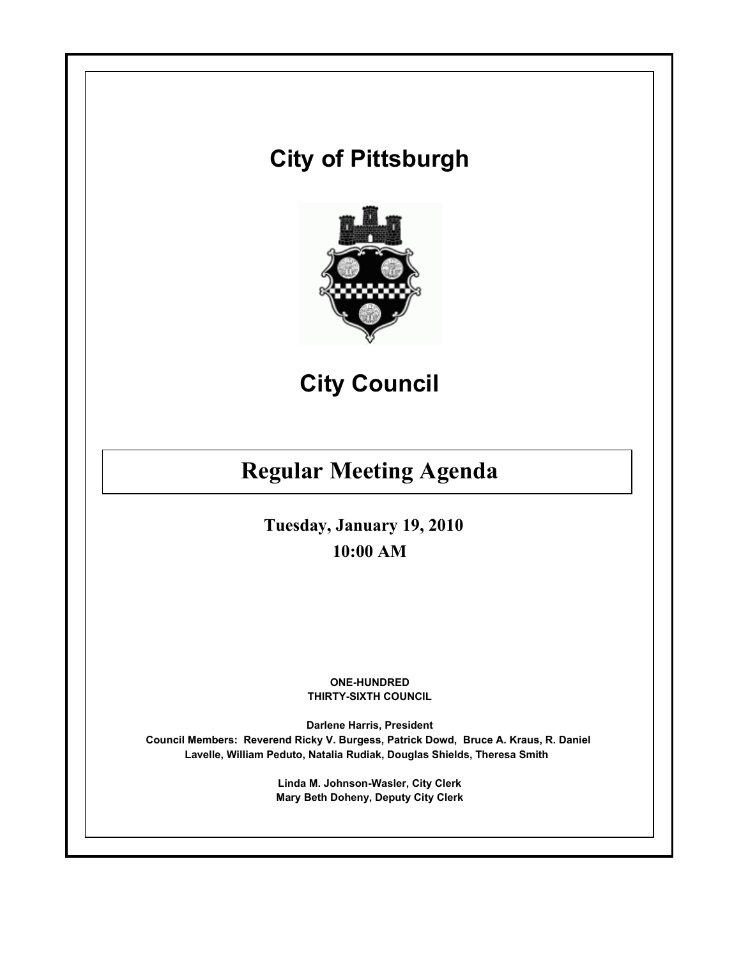# **City of Pittsburgh**



**City Council**

## **Regular Meeting Agenda**

**Tuesday, January 19, 2010 10:00 AM**

> **ONE-HUNDRED THIRTY-SIXTH COUNCIL**

**Darlene Harris, President Council Members: Reverend Ricky V. Burgess, Patrick Dowd, Bruce A. Kraus, R. Daniel Lavelle, William Peduto, Natalia Rudiak, Douglas Shields, Theresa Smith** 

> **Linda M. Johnson-Wasler, City Clerk Mary Beth Doheny, Deputy City Clerk**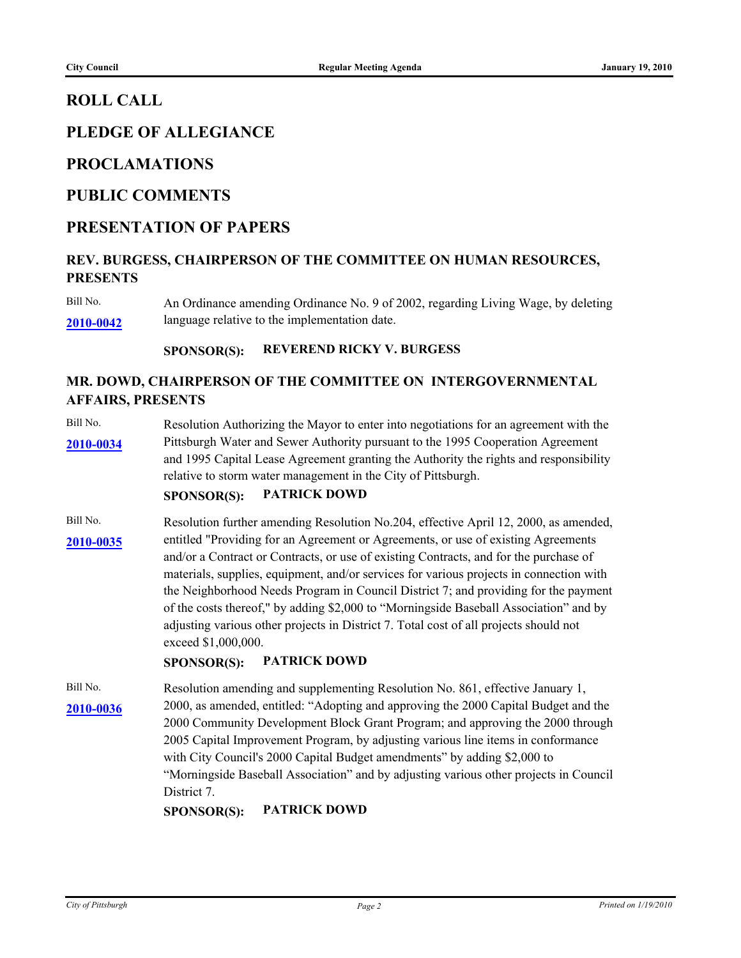### **ROLL CALL**

## **PLEDGE OF ALLEGIANCE**

#### **PROCLAMATIONS**

#### **PUBLIC COMMENTS**

#### **PRESENTATION OF PAPERS**

#### **REV. BURGESS, CHAIRPERSON OF THE COMMITTEE ON HUMAN RESOURCES, PRESENTS**

Bill No. An Ordinance amending Ordinance No. 9 of 2002, regarding Living Wage, by deleting **[2010-0042](http://pittsburgh.legistar.com/gateway.aspx/matter.aspx?key=12541)** language relative to the implementation date.

#### **SPONSOR(S): REVEREND RICKY V. BURGESS**

#### **MR. DOWD, CHAIRPERSON OF THE COMMITTEE ON INTERGOVERNMENTAL AFFAIRS, PRESENTS**

Bill No. Resolution Authorizing the Mayor to enter into negotiations for an agreement with the [2010-0034](http://pittsburgh.legistar.com/gateway.aspx/matter.aspx?key=12532) Pittsburgh Water and Sewer Authority pursuant to the 1995 Cooperation Agreement and 1995 Capital Lease Agreement granting the Authority the rights and responsibility relative to storm water management in the City of Pittsburgh.

#### **SPONSOR(S): PATRICK DOWD**

Bill No. Resolution further amending Resolution No. 204, effective April 12, 2000, as amended, [2010-0035](http://pittsburgh.legistar.com/gateway.aspx/matter.aspx?key=12534) entitled "Providing for an Agreement or Agreements, or use of existing Agreements and/or a Contract or Contracts, or use of existing Contracts, and for the purchase of materials, supplies, equipment, and/or services for various projects in connection with the Neighborhood Needs Program in Council District 7; and providing for the payment of the costs thereof," by adding \$2,000 to "Morningside Baseball Association" and by adjusting various other projects in District 7. Total cost of all projects should not exceed \$1,000,000.

#### **SPONSOR(S): PATRICK DOWD**

Bill No. Resolution amending and supplementing Resolution No. 861, effective January 1, 2000, as amended, entitled: "Adopting and approving the 2000 Capital Budget and the **[2010-0036](http://pittsburgh.legistar.com/gateway.aspx/matter.aspx?key=12535)** 2000 Community Development Block Grant Program; and approving the 2000 through 2005 Capital Improvement Program, by adjusting various line items in conformance with City Council's 2000 Capital Budget amendments" by adding \$2,000 to "Morningside Baseball Association" and by adjusting various other projects in Council District 7.

#### **SPONSOR(S): PATRICK DOWD**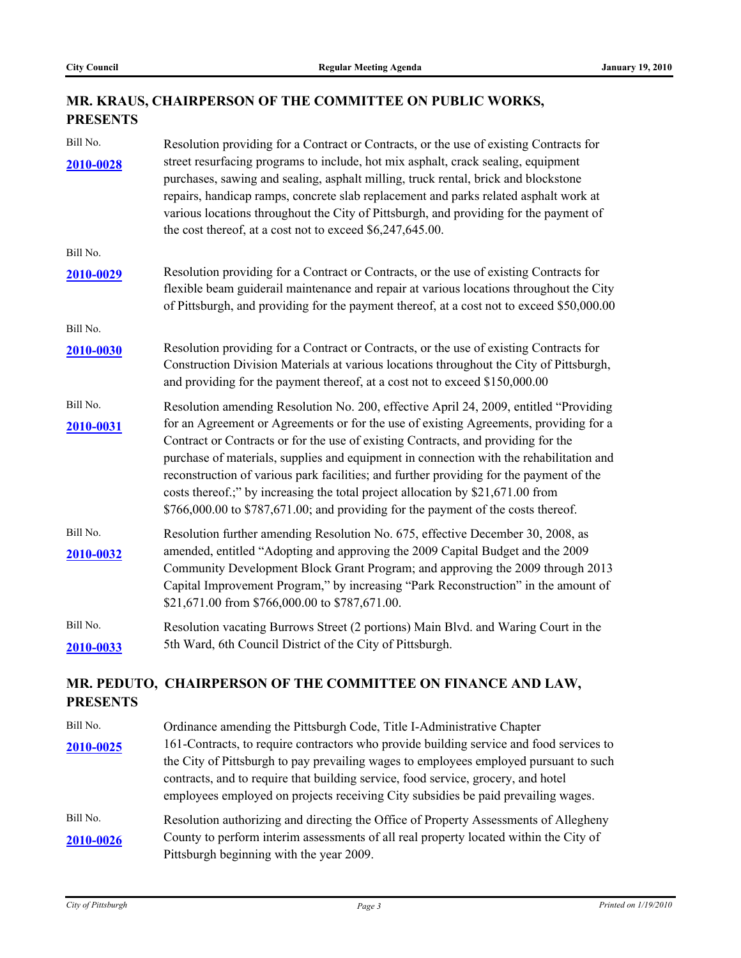### **MR. KRAUS, CHAIRPERSON OF THE COMMITTEE ON PUBLIC WORKS, PRESENTS**

| Bill No.        | Resolution providing for a Contract or Contracts, or the use of existing Contracts for                                                                                                                                                                                                                                                                                                                                                                                                                                                   |  |  |  |  |
|-----------------|------------------------------------------------------------------------------------------------------------------------------------------------------------------------------------------------------------------------------------------------------------------------------------------------------------------------------------------------------------------------------------------------------------------------------------------------------------------------------------------------------------------------------------------|--|--|--|--|
| 2010-0028       | street resurfacing programs to include, hot mix asphalt, crack sealing, equipment<br>purchases, sawing and sealing, asphalt milling, truck rental, brick and blockstone<br>repairs, handicap ramps, concrete slab replacement and parks related asphalt work at                                                                                                                                                                                                                                                                          |  |  |  |  |
|                 | various locations throughout the City of Pittsburgh, and providing for the payment of<br>the cost thereof, at a cost not to exceed \$6,247,645.00.                                                                                                                                                                                                                                                                                                                                                                                       |  |  |  |  |
| Bill No.        |                                                                                                                                                                                                                                                                                                                                                                                                                                                                                                                                          |  |  |  |  |
| 2010-0029       | Resolution providing for a Contract or Contracts, or the use of existing Contracts for<br>flexible beam guiderail maintenance and repair at various locations throughout the City<br>of Pittsburgh, and providing for the payment thereof, at a cost not to exceed \$50,000.00                                                                                                                                                                                                                                                           |  |  |  |  |
| Bill No.        |                                                                                                                                                                                                                                                                                                                                                                                                                                                                                                                                          |  |  |  |  |
| 2010-0030       | Resolution providing for a Contract or Contracts, or the use of existing Contracts for<br>Construction Division Materials at various locations throughout the City of Pittsburgh,<br>and providing for the payment thereof, at a cost not to exceed \$150,000.00                                                                                                                                                                                                                                                                         |  |  |  |  |
| Bill No.        | Resolution amending Resolution No. 200, effective April 24, 2009, entitled "Providing                                                                                                                                                                                                                                                                                                                                                                                                                                                    |  |  |  |  |
| 2010-0031       | for an Agreement or Agreements or for the use of existing Agreements, providing for a<br>Contract or Contracts or for the use of existing Contracts, and providing for the<br>purchase of materials, supplies and equipment in connection with the rehabilitation and<br>reconstruction of various park facilities; and further providing for the payment of the<br>costs thereof.;" by increasing the total project allocation by \$21,671.00 from<br>\$766,000.00 to \$787,671.00; and providing for the payment of the costs thereof. |  |  |  |  |
| Bill No.        | Resolution further amending Resolution No. 675, effective December 30, 2008, as                                                                                                                                                                                                                                                                                                                                                                                                                                                          |  |  |  |  |
| 2010-0032       | amended, entitled "Adopting and approving the 2009 Capital Budget and the 2009<br>Community Development Block Grant Program; and approving the 2009 through 2013<br>Capital Improvement Program," by increasing "Park Reconstruction" in the amount of<br>\$21,671.00 from \$766,000.00 to \$787,671.00.                                                                                                                                                                                                                                 |  |  |  |  |
| Bill No.        | Resolution vacating Burrows Street (2 portions) Main Blvd. and Waring Court in the                                                                                                                                                                                                                                                                                                                                                                                                                                                       |  |  |  |  |
| 2010-0033       | 5th Ward, 6th Council District of the City of Pittsburgh.                                                                                                                                                                                                                                                                                                                                                                                                                                                                                |  |  |  |  |
| <b>PRESENTS</b> | MR. PEDUTO, CHAIRPERSON OF THE COMMITTEE ON FINANCE AND LAW,                                                                                                                                                                                                                                                                                                                                                                                                                                                                             |  |  |  |  |
| Bill No.        | Ordinance amending the Pittsburgh Code, Title I-Administrative Chapter                                                                                                                                                                                                                                                                                                                                                                                                                                                                   |  |  |  |  |

[2010-0025](http://pittsburgh.legistar.com/gateway.aspx/matter.aspx?key=12521) 161-Contracts, to require contractors who provide building service and food services to the City of Pittsburgh to pay prevailing wages to employees employed pursuant to such contracts, and to require that building service, food service, grocery, and hotel employees employed on projects receiving City subsidies be paid prevailing wages. Bill No. Resolution authorizing and directing the Office of Property Assessments of Allegheny [2010-0026](http://pittsburgh.legistar.com/gateway.aspx/matter.aspx?key=12522) County to perform interim assessments of all real property located within the City of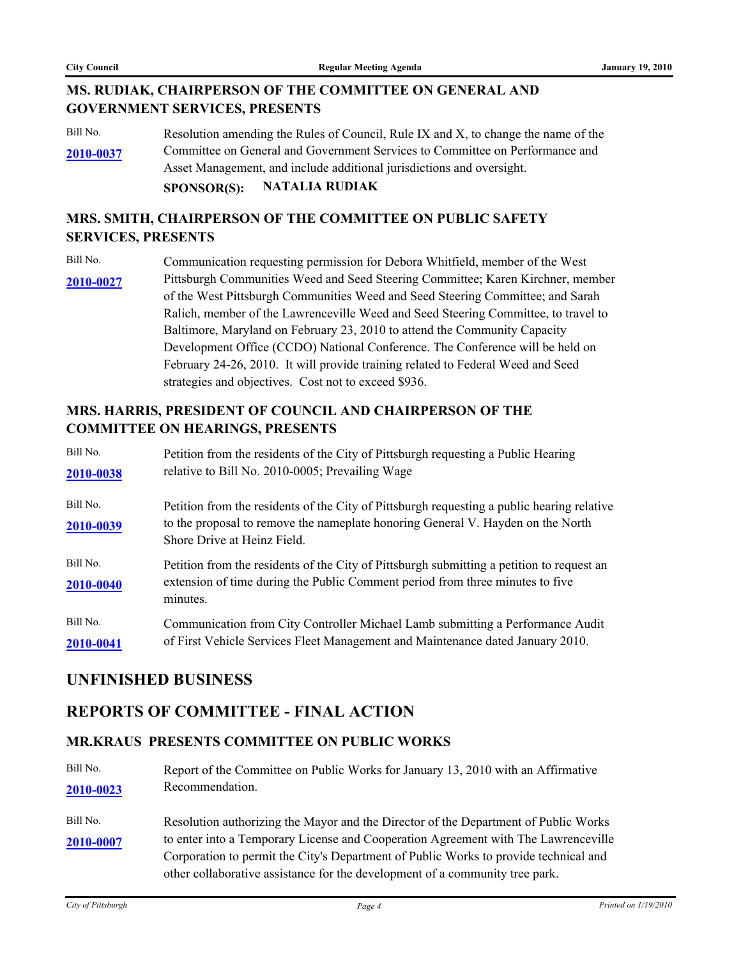#### **MS. RUDIAK, CHAIRPERSON OF THE COMMITTEE ON GENERAL AND GOVERNMENT SERVICES, PRESENTS**

Bill No. Resolution amending the Rules of Council, Rule IX and X, to change the name of the Committee on General and Government Services to Committee on Performance and Asset Management, and include additional jurisdictions and oversight. **[2010-0037](http://pittsburgh.legistar.com/gateway.aspx/matter.aspx?key=12536)**

## **SPONSOR(S): NATALIA RUDIAK**

#### **MRS. SMITH, CHAIRPERSON OF THE COMMITTEE ON PUBLIC SAFETY SERVICES, PRESENTS**

Bill No. Communication requesting permission for Debora Whitfield, member of the West [2010-0027](http://pittsburgh.legistar.com/gateway.aspx/matter.aspx?key=12523) Pittsburgh Communities Weed and Seed Steering Committee; Karen Kirchner, member of the West Pittsburgh Communities Weed and Seed Steering Committee; and Sarah Ralich, member of the Lawrenceville Weed and Seed Steering Committee, to travel to Baltimore, Maryland on February 23, 2010 to attend the Community Capacity Development Office (CCDO) National Conference. The Conference will be held on February 24-26, 2010. It will provide training related to Federal Weed and Seed strategies and objectives. Cost not to exceed \$936.

#### **MRS. HARRIS, PRESIDENT OF COUNCIL AND CHAIRPERSON OF THE COMMITTEE ON HEARINGS, PRESENTS**

| Bill No.              | Petition from the residents of the City of Pittsburgh requesting a Public Hearing                                                                                                                            |
|-----------------------|--------------------------------------------------------------------------------------------------------------------------------------------------------------------------------------------------------------|
| 2010-0038             | relative to Bill No. 2010-0005; Prevailing Wage                                                                                                                                                              |
| Bill No.<br>2010-0039 | Petition from the residents of the City of Pittsburgh requesting a public hearing relative<br>to the proposal to remove the nameplate honoring General V. Hayden on the North<br>Shore Drive at Heinz Field. |
| Bill No.<br>2010-0040 | Petition from the residents of the City of Pittsburgh submitting a petition to request an<br>extension of time during the Public Comment period from three minutes to five<br>minutes.                       |
| Bill No.              | Communication from City Controller Michael Lamb submitting a Performance Audit                                                                                                                               |
| 2010-0041             | of First Vehicle Services Fleet Management and Maintenance dated January 2010.                                                                                                                               |

### **UNFINISHED BUSINESS**

### **REPORTS OF COMMITTEE - FINAL ACTION**

#### **MR.KRAUS PRESENTS COMMITTEE ON PUBLIC WORKS**

- Bill No. Report of the Committee on Public Works for January 13, 2010 with an Affirmative **[2010-0023](http://pittsburgh.legistar.com/gateway.aspx/matter.aspx?key=12519)** Recommendation.
- Bill No. Resolution authorizing the Mayor and the Director of the Department of Public Works [2010-0007](http://pittsburgh.legistar.com/gateway.aspx/matter.aspx?key=12503) to enter into a Temporary License and Cooperation Agreement with The Lawrenceville Corporation to permit the City's Department of Public Works to provide technical and other collaborative assistance for the development of a community tree park.